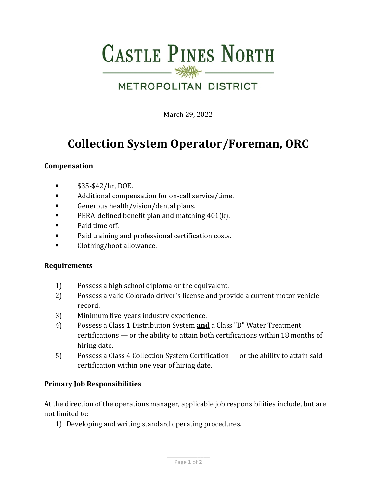# **CASTLE PINES NORTH**

### **METROPOLITAN DISTRICT**

March 29, 2022

## **Collection System Operator/Foreman, ORC**

#### **Compensation**

- $$35-\$42/hr, DOE.$
- Additional compensation for on-call service/time.
- Generous health/vision/dental plans.
- **PERA-defined benefit plan and matching 401(k).**
- **Paid time off.**
- **Paid training and professional certification costs.**
- **Clothing/boot allowance.**

#### **Requirements**

- 1) Possess a high school diploma or the equivalent.
- 2) Possess a valid Colorado driver's license and provide a current motor vehicle record.
- 3) Minimum five-years industry experience.
- 4) Possess a Class 1 Distribution System **and** a Class "D" Water Treatment certifications — or the ability to attain both certifications within 18 months of hiring date.
- 5) Possess a Class 4 Collection System Certification or the ability to attain said certification within one year of hiring date.

#### **Primary Job Responsibilities**

At the direction of the operations manager, applicable job responsibilities include, but are not limited to:

1) Developing and writing standard operating procedures.